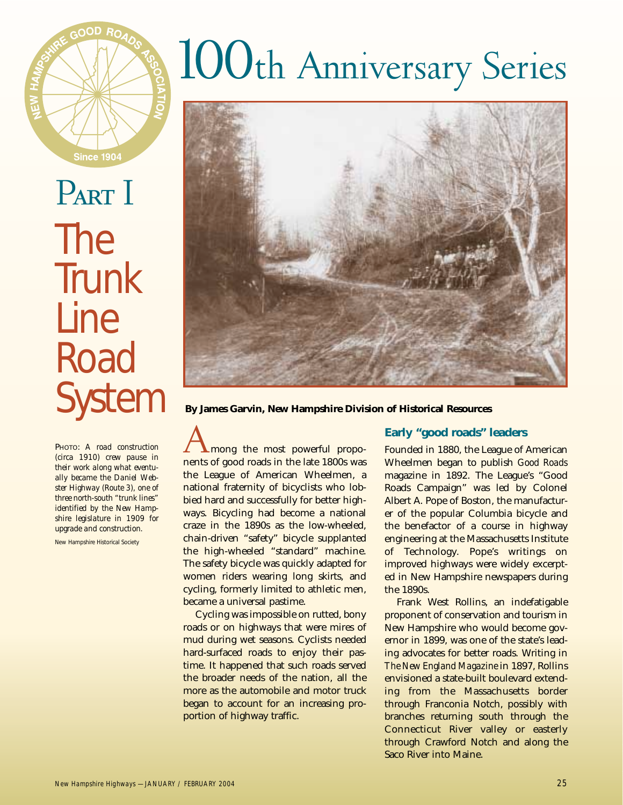

PART I The **Trunk** Line **Road** 

PHOTO: *A road construction (circa 1910) crew pause in their work along what eventually became the Daniel Webster Highway (Route 3), one of three north-south "trunk lines" identified by the New Hampshire legislature in 1909 for upgrade and construction.* 

New Hampshire Historical Society

# 100th Anniversary Series



System **By James Garvin, New Hampshire Division of Historical Resources**

Among the most powerful proponents of good roads in the late 1800s was the League of American Wheelmen, a national fraternity of bicyclists who lobbied hard and successfully for better highways. Bicycling had become a national craze in the 1890s as the low-wheeled, chain-driven "safety" bicycle supplanted the high-wheeled "standard" machine. The safety bicycle was quickly adapted for women riders wearing long skirts, and cycling, formerly limited to athletic men, became a universal pastime.

Cycling was impossible on rutted, bony roads or on highways that were mires of mud during wet seasons. Cyclists needed hard-surfaced roads to enjoy their pastime. It happened that such roads served the broader needs of the nation, all the more as the automobile and motor truck began to account for an increasing proportion of highway traffic.

#### **Early "good roads" leaders**

Founded in 1880, the League of American Wheelmen began to publish *Good Roads* magazine in 1892. The League's "Good Roads Campaign" was led by Colonel Albert A. Pope of Boston, the manufacturer of the popular Columbia bicycle and the benefactor of a course in highway engineering at the Massachusetts Institute of Technology. Pope's writings on improved highways were widely excerpted in New Hampshire newspapers during the 1890s.

Frank West Rollins, an indefatigable proponent of conservation and tourism in New Hampshire who would become governor in 1899, was one of the state's leading advocates for better roads. Writing in *The New England Magazine* in 1897, Rollins envisioned a state-built boulevard extending from the Massachusetts border through Franconia Notch, possibly with branches returning south through the Connecticut River valley or easterly through Crawford Notch and along the Saco River into Maine.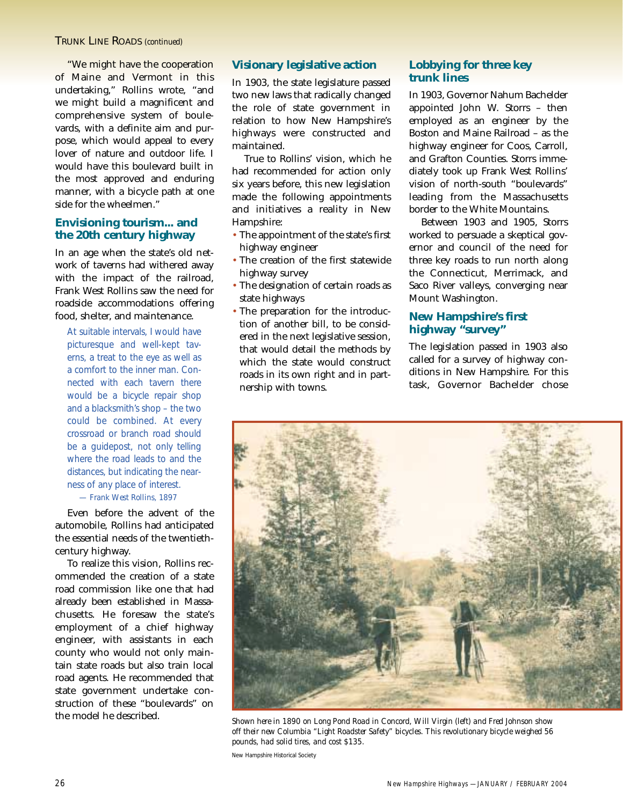"We might have the cooperation of Maine and Vermont in this undertaking," Rollins wrote, "and we might build a magnificent and comprehensive system of boulevards, with a definite aim and purpose, which would appeal to every lover of nature and outdoor life. I would have this boulevard built in the most approved and enduring manner, with a bicycle path at one side for the wheelmen."

### **Envisioning tourism... and the 20th century highway**

In an age when the state's old network of taverns had withered away with the impact of the railroad, Frank West Rollins saw the need for roadside accommodations offering food, shelter, and maintenance.

At suitable intervals, I would have picturesque and well-kept taverns, a treat to the eye as well as a comfort to the inner man. Connected with each tavern there would be a bicycle repair shop and a blacksmith's shop – the two could be combined. At every crossroad or branch road should be a guidepost, not only telling where the road leads to and the distances, but indicating the nearness of any place of interest. *— Frank West Rollins, 1897*

## Even before the advent of the automobile, Rollins had anticipated the essential needs of the twentieth-

century highway. To realize this vision, Rollins recommended the creation of a state road commission like one that had already been established in Massachusetts. He foresaw the state's employment of a chief highway engineer, with assistants in each county who would not only maintain state roads but also train local road agents. He recommended that state government undertake construction of these "boulevards" on the model he described.

#### **Visionary legislative action**

In 1903, the state legislature passed two new laws that radically changed the role of state government in relation to how New Hampshire's highways were constructed and maintained.

True to Rollins' vision, which he had recommended for action only six years before, this new legislation made the following appointments and initiatives a reality in New Hampshire:

- The appointment of the state's first highway engineer
- The creation of the first statewide highway survey
- The designation of certain roads as state highways
- The preparation for the introduction of another bill, to be considered in the next legislative session, that would detail the methods by which the state would construct roads in its own right and in partnership with towns.

#### **Lobbying for three key trunk lines**

In 1903, Governor Nahum Bachelder appointed John W. Storrs – then employed as an engineer by the Boston and Maine Railroad – as the highway engineer for Coos, Carroll, and Grafton Counties. Storrs immediately took up Frank West Rollins' vision of north-south "boulevards" leading from the Massachusetts border to the White Mountains.

Between 1903 and 1905, Storrs worked to persuade a skeptical governor and council of the need for three key roads to run north along the Connecticut, Merrimack, and Saco River valleys, converging near Mount Washington.

## **New Hampshire's first highway "survey"**

The legislation passed in 1903 also called for a survey of highway conditions in New Hampshire. For this task, Governor Bachelder chose



*Shown here in 1890 on Long Pond Road in Concord, Will Virgin (left) and Fred Johnson show off their new Columbia "Light Roadster Safety" bicycles. This revolutionary bicycle weighed 56 pounds, had solid tires, and cost \$135.* 

New Hampshire Historical Society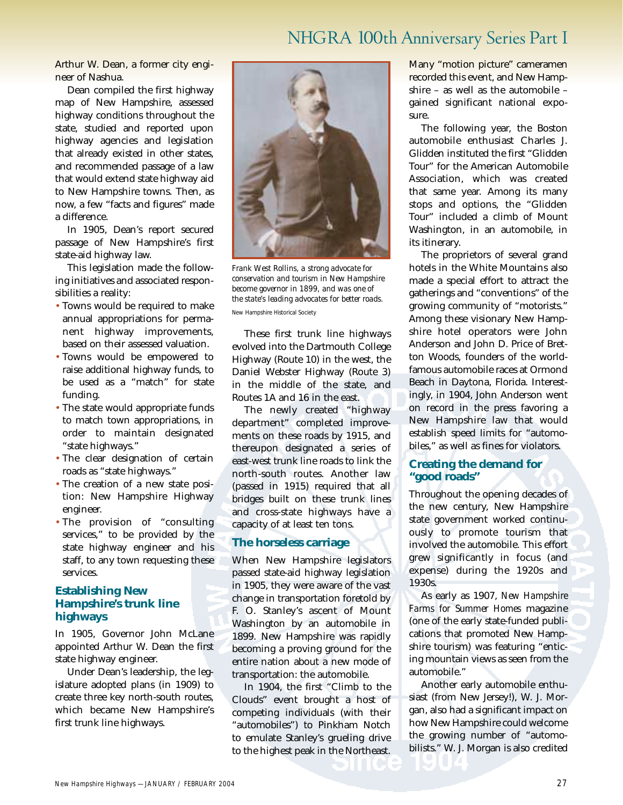# NHGRA 100th Anniversary Series Part I

Arthur W. Dean, a former city engineer of Nashua.

Dean compiled the first highway map of New Hampshire, assessed highway conditions throughout the state, studied and reported upon highway agencies and legislation that already existed in other states, and recommended passage of a law that would extend state highway aid to New Hampshire towns. Then, as now, a few "facts and figures" made a difference.

In 1905, Dean's report secured passage of New Hampshire's first state-aid highway law.

This legislation made the following initiatives and associated responsibilities a reality:

- Towns would be required to make annual appropriations for permanent highway improvements, based on their assessed valuation.
- Towns would be empowered to raise additional highway funds, to be used as a "match" for state funding.
- The state would appropriate funds to match town appropriations, in order to maintain designated "state highways."
- The clear designation of certain roads as "state highways."
- The creation of a new state position: New Hampshire Highway engineer.
- The provision of "consulting services," to be provided by the state highway engineer and his staff, to any town requesting these services.

#### **Establishing New Hampshire's trunk line highways**

In 1905, Governor John McLane appointed Arthur W. Dean the first state highway engineer.

Under Dean's leadership, the legislature adopted plans (in 1909) to create three key north-south routes, which became New Hampshire's first trunk line highways.



*Frank West Rollins, a strong advocate for conservation and tourism in New Hampshire become governor in 1899, and was one of the state's leading advocates for better roads.* 

New Hampshire Historical Society

These first trunk line highways evolved into the Dartmouth College Highway (Route 10) in the west, the Daniel Webster Highway (Route 3) in the middle of the state, and Routes 1A and 16 in the east.

The newly created "highway department" completed improvements on these roads by 1915, and thereupon designated a series of east-west trunk line roads to link the north-south routes. Another law (passed in 1915) required that all bridges built on these trunk lines and cross-state highways have a capacity of at least ten tons.

#### **The horseless carriage**

When New Hampshire legislators passed state-aid highway legislation in 1905, they were aware of the vast change in transportation foretold by F. O. Stanley's ascent of Mount Washington by an automobile in 1899. New Hampshire was rapidly becoming a proving ground for the entire nation about a new mode of transportation: the automobile.

In 1904, the first "Climb to the Clouds" event brought a host of competing individuals (with their "automobiles") to Pinkham Notch to emulate Stanley's grueling drive to the highest peak in the Northeast. Many "motion picture" cameramen recorded this event, and New Hampshire – as well as the automobile – gained significant national exposure.

The following year, the Boston automobile enthusiast Charles J. Glidden instituted the first "Glidden Tour" for the American Automobile Association, which was created that same year. Among its many stops and options, the "Glidden Tour" included a climb of Mount Washington, in an automobile, in its itinerary.

The proprietors of several grand hotels in the White Mountains also made a special effort to attract the gatherings and "conventions" of the growing community of "motorists." Among these visionary New Hampshire hotel operators were John Anderson and John D. Price of Bretton Woods, founders of the worldfamous automobile races at Ormond Beach in Daytona, Florida. Interestingly, in 1904, John Anderson went on record in the press favoring a New Hampshire law that would establish speed limits for "automobiles," as well as fines for violators.

#### **Creating the demand for "good roads"**

Throughout the opening decades of the new century, New Hampshire state government worked continuously to promote tourism that involved the automobile. This effort grew significantly in focus (and expense) during the 1920s and 1930s.

As early as 1907, *New Hampshire Farms for Summer Homes* magazine (one of the early state-funded publications that promoted New Hampshire tourism) was featuring "enticing mountain views as seen from the automobile."

Another early automobile enthusiast (from New Jersey!), W. J. Morgan, also had a significant impact on how New Hampshire could welcome the growing number of "automobilists." W. J. Morgan is also credited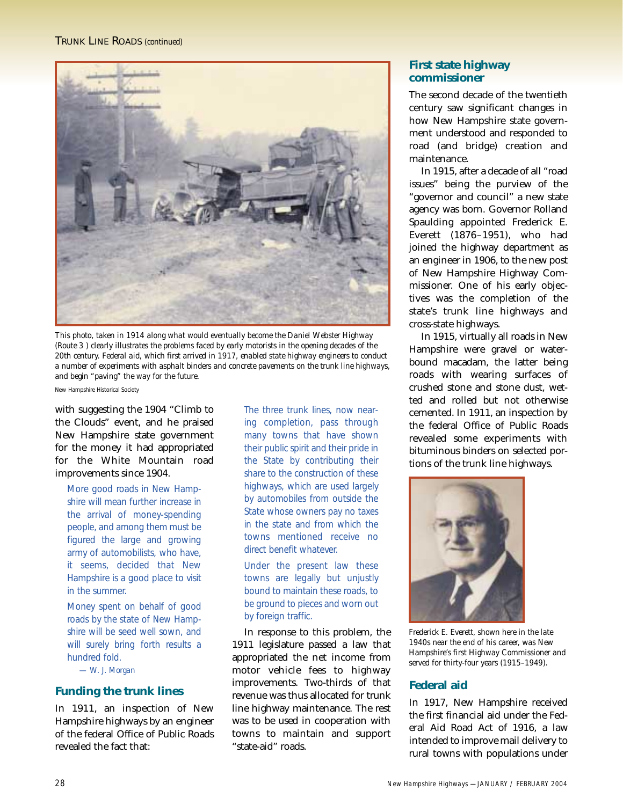#### TRUNK LINE ROADS *(continued)*



*This photo, taken in 1914 along what would eventually become the Daniel Webster Highway (Route 3 ) clearly illustrates the problems faced by early motorists in the opening decades of the 20th century. Federal aid, which first arrived in 1917, enabled state highway engineers to conduct a number of experiments with asphalt binders and concrete pavements on the trunk line highways, and begin "paving" the way for the future.* 

New Hampshire Historical Society

with suggesting the 1904 "Climb to the Clouds" event, and he praised New Hampshire state government for the money it had appropriated for the White Mountain road improvements since 1904.

More good roads in New Hampshire will mean further increase in the arrival of money-spending people, and among them must be figured the large and growing army of automobilists, who have, it seems, decided that New Hampshire is a good place to visit in the summer.

Money spent on behalf of good roads by the state of New Hampshire will be seed well sown, and will surely bring forth results a hundred fold.

*— W. J. Morgan*

#### **Funding the trunk lines**

In 1911, an inspection of New Hampshire highways by an engineer of the federal Office of Public Roads revealed the fact that:

The three trunk lines, now nearing completion, pass through many towns that have shown their public spirit and their pride in the State by contributing their share to the construction of these highways, which are used largely by automobiles from outside the State whose owners pay no taxes in the state and from which the towns mentioned receive no direct benefit whatever.

Under the present law these towns are legally but unjustly bound to maintain these roads, to be ground to pieces and worn out by foreign traffic.

In response to this problem, the 1911 legislature passed a law that appropriated the net income from motor vehicle fees to highway improvements. Two-thirds of that revenue was thus allocated for trunk line highway maintenance. The rest was to be used in cooperation with towns to maintain and support "state-aid" roads.

#### **First state highway commissioner**

The second decade of the twentieth century saw significant changes in how New Hampshire state government understood and responded to road (and bridge) creation and maintenance.

In 1915, after a decade of all "road issues" being the purview of the "governor and council" a new state agency was born. Governor Rolland Spaulding appointed Frederick E. Everett (1876–1951), who had joined the highway department as an engineer in 1906, to the new post of New Hampshire Highway Commissioner. One of his early objectives was the completion of the state's trunk line highways and cross-state highways.

In 1915, virtually all roads in New Hampshire were gravel or waterbound macadam, the latter being roads with wearing surfaces of crushed stone and stone dust, wetted and rolled but not otherwise cemented. In 1911, an inspection by the federal Office of Public Roads revealed some experiments with bituminous binders on selected portions of the trunk line highways.



*Frederick E. Everett, shown here in the late 1940s near the end of his career, was New Hampshire's first Highway Commissioner and served for thirty-four years (1915–1949).*

#### **Federal aid**

In 1917, New Hampshire received the first financial aid under the Federal Aid Road Act of 1916, a law intended to improve mail delivery to rural towns with populations under